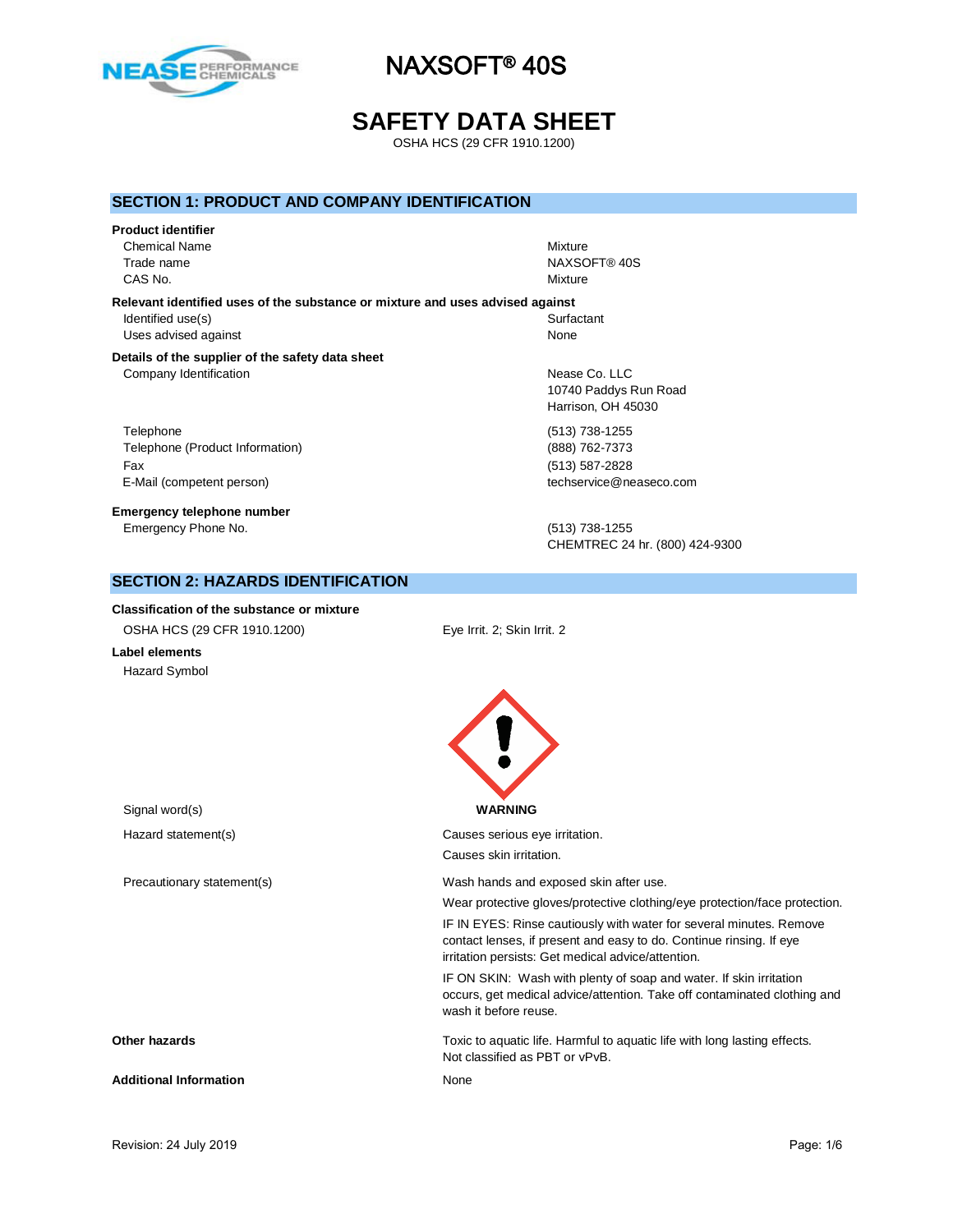

# **SAFETY DATA SHEET**

OSHA HCS (29 CFR 1910.1200)

### **SECTION 1: PRODUCT AND COMPANY IDENTIFICATION**

#### **Product identifier**

Chemical Name Mixture CAS No. Nixture and the contract of the contract of the contract of the contract of the contract of the contract of the contract of the contract of the contract of the contract of the contract of the contract of the contra

**Relevant identified uses of the substance or mixture and uses advised against** Identified use(s) Surfactant Surfactant Surfactant Surfactant Surfactant Surfactant Surfactant Surfactant Surfactant Surfactant Surfactant Surfactant Surfactant Surfactant Surfactant Surfactant Surfactant Surfactant Surfac Uses advised against None

#### **Details of the supplier of the safety data sheet** Company Identification **Nease Co.** LLC

Telephone (513) 738-1255 Telephone (Product Information) (888) 762-7373 Fax (513) 587-2828 E-Mail (competent person) and the competent person of the competent person of the competent person of the competent of the competent of the competent of the competent of the competent of the competent of the competent of t

**Emergency telephone number** Emergency Phone No. (513) 738-1255

Trade name NAXSOFT® 40S

10740 Paddys Run Road Harrison, OH 45030

CHEMTREC 24 hr. (800) 424-9300

Wear protective gloves/protective clothing/eye protection/face protection. IF IN EYES: Rinse cautiously with water for several minutes. Remove contact lenses, if present and easy to do. Continue rinsing. If eye

IF ON SKIN: Wash with plenty of soap and water. If skin irritation occurs, get medical advice/attention. Take off contaminated clothing and

irritation persists: Get medical advice/attention.

# **SECTION 2: HAZARDS IDENTIFICATION**

**Classification of the substance or mixture** OSHA HCS (29 CFR 1910.1200) Eye Irrit. 2; Skin Irrit. 2

**Label elements** Hazard Symbol

Causes skin irritation.

wash it before reuse.

Not classified as PBT or vPvB.

Signal word(s) **WARNING** Hazard statement(s) example a control control control causes serious eye irritation. Precautionary statement(s) Wash hands and exposed skin after use.

**Other hazards** Toxic to aquatic life. Harmful to aquatic life with long lasting effects.

Additional Information **None** None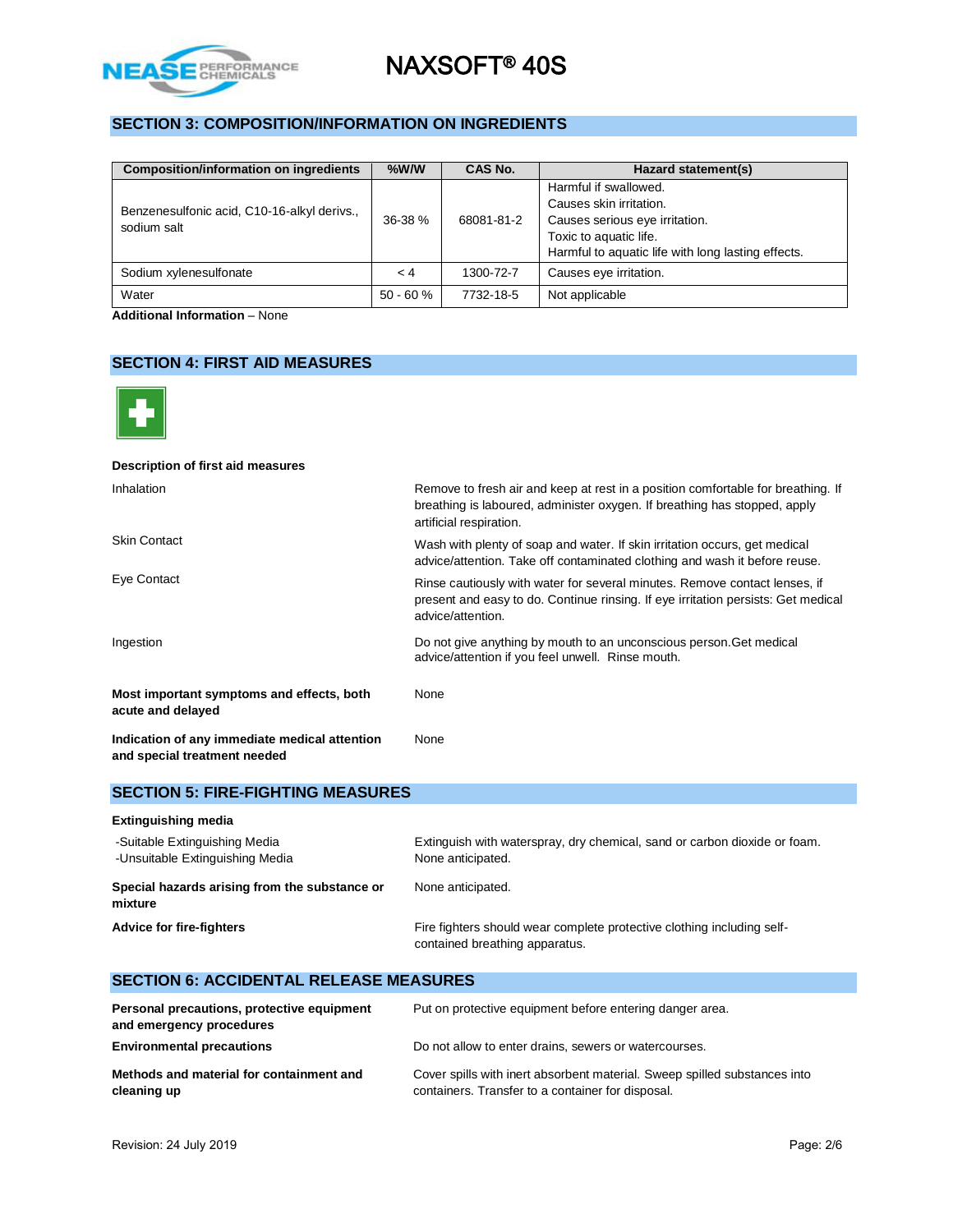

# **SECTION 3: COMPOSITION/INFORMATION ON INGREDIENTS**

| <b>Composition/information on ingredients</b> | $%$ W/W    | CAS No.    | Hazard statement(s)                                |
|-----------------------------------------------|------------|------------|----------------------------------------------------|
|                                               | $36-38%$   | 68081-81-2 | Harmful if swallowed.                              |
| Benzenesulfonic acid, C10-16-alkyl derivs.,   |            |            | Causes skin irritation.                            |
| sodium salt                                   |            |            | Causes serious eye irritation.                     |
|                                               |            |            | Toxic to aquatic life.                             |
|                                               |            |            | Harmful to aquatic life with long lasting effects. |
| Sodium xylenesulfonate                        | $\lt 4$    | 1300-72-7  | Causes eye irritation.                             |
| Water                                         | $50 - 60%$ | 7732-18-5  | Not applicable                                     |

**Additional Information** – None

# **SECTION 4: FIRST AID MEASURES**



| Description of first aid measures                                             |                                                                                                                                                                                          |
|-------------------------------------------------------------------------------|------------------------------------------------------------------------------------------------------------------------------------------------------------------------------------------|
| Inhalation                                                                    | Remove to fresh air and keep at rest in a position comfortable for breathing. If<br>breathing is laboured, administer oxygen. If breathing has stopped, apply<br>artificial respiration. |
| <b>Skin Contact</b>                                                           | Wash with plenty of soap and water. If skin irritation occurs, get medical<br>advice/attention. Take off contaminated clothing and wash it before reuse.                                 |
| Eye Contact                                                                   | Rinse cautiously with water for several minutes. Remove contact lenses, if<br>present and easy to do. Continue rinsing. If eye irritation persists: Get medical<br>advice/attention.     |
| Ingestion                                                                     | Do not give anything by mouth to an unconscious person. Get medical<br>advice/attention if you feel unwell. Rinse mouth.                                                                 |
| Most important symptoms and effects, both<br>acute and delayed                | None                                                                                                                                                                                     |
| Indication of any immediate medical attention<br>and special treatment needed | None                                                                                                                                                                                     |

### **SECTION 5: FIRE-FIGHTING MEASURES**

| <b>Extinguishing media</b>                                       |                                                                                                          |
|------------------------------------------------------------------|----------------------------------------------------------------------------------------------------------|
| -Suitable Extinguishing Media<br>-Unsuitable Extinguishing Media | Extinguish with waterspray, dry chemical, sand or carbon dioxide or foam.<br>None anticipated.           |
| Special hazards arising from the substance or<br>mixture         | None anticipated.                                                                                        |
| <b>Advice for fire-fighters</b>                                  | Fire fighters should wear complete protective clothing including self-<br>contained breathing apparatus. |

| <b>SECTION 6: ACCIDENTAL RELEASE MEASURES</b>                          |                                                                                                                                |  |  |  |
|------------------------------------------------------------------------|--------------------------------------------------------------------------------------------------------------------------------|--|--|--|
| Personal precautions, protective equipment<br>and emergency procedures | Put on protective equipment before entering danger area.                                                                       |  |  |  |
| <b>Environmental precautions</b>                                       | Do not allow to enter drains, sewers or watercourses.                                                                          |  |  |  |
| Methods and material for containment and<br>cleaning up                | Cover spills with inert absorbent material. Sweep spilled substances into<br>containers. Transfer to a container for disposal. |  |  |  |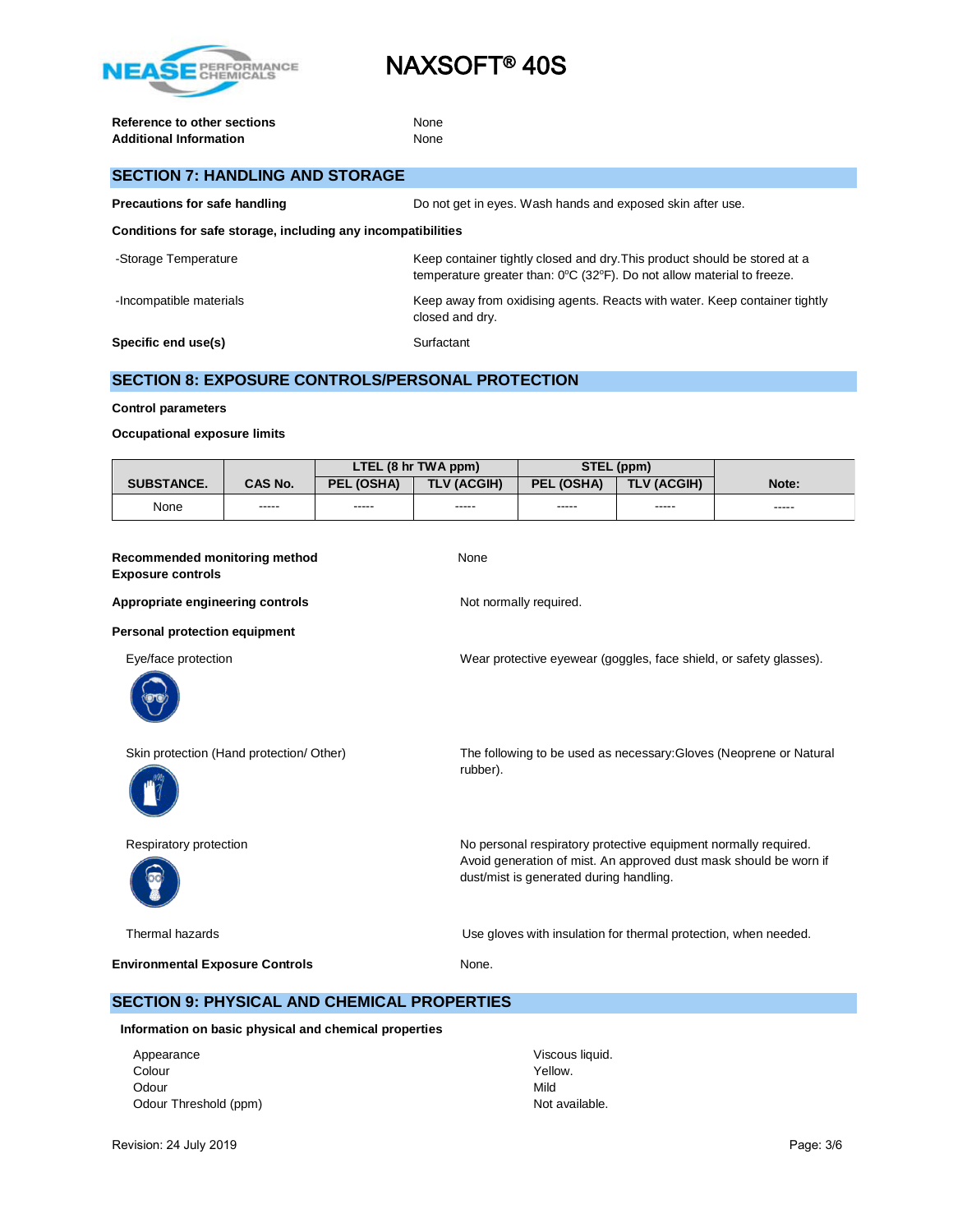

**Reference to other sections** None Additional Information **None** None

| <b>SECTION 7: HANDLING AND STORAGE</b>                       |                                                                                                                                                                         |  |  |  |
|--------------------------------------------------------------|-------------------------------------------------------------------------------------------------------------------------------------------------------------------------|--|--|--|
| Precautions for safe handling                                | Do not get in eyes. Wash hands and exposed skin after use.                                                                                                              |  |  |  |
| Conditions for safe storage, including any incompatibilities |                                                                                                                                                                         |  |  |  |
| -Storage Temperature                                         | Keep container tightly closed and dry. This product should be stored at a<br>temperature greater than: $0^{\circ}C$ (32 $^{\circ}F$ ). Do not allow material to freeze. |  |  |  |
| -Incompatible materials                                      | Keep away from oxidising agents. Reacts with water. Keep container tightly<br>closed and dry.                                                                           |  |  |  |
| Specific end use(s)                                          | Surfactant                                                                                                                                                              |  |  |  |

## **SECTION 8: EXPOSURE CONTROLS/PERSONAL PROTECTION**

#### **Control parameters**

#### **Occupational exposure limits**

|                   |                | LTEL (8 hr TWA ppm) |                    | STEL (ppm) |             |       |
|-------------------|----------------|---------------------|--------------------|------------|-------------|-------|
| <b>SUBSTANCE.</b> | <b>CAS No.</b> | <b>PEL (OSHA)</b>   | <b>TLV (ACGIH)</b> | PEL (OSHA) | TLV (ACGIH) | Note: |
| None              | -----          | -----               | -----              | -----      | -----       | ----- |

| Recommended monitoring method | None |
|-------------------------------|------|
| <b>Exposure controls</b>      |      |

#### Appropriate engineering controls **Notify Appropriate engineering controls** Not normally required.

#### **Personal protection equipment**

Eye/face protection Wear protective eyewear (goggles, face shield, or safety glasses).





Skin protection (Hand protection/ Other) The following to be used as necessary:Gloves (Neoprene or Natural rubber).

Respiratory protection **No personal respiratory protective equipment normally required.** Avoid generation of mist. An approved dust mask should be worn if dust/mist is generated during handling.

Thermal hazards Use gloves with insulation for thermal protection, when needed.

**Environmental Exposure Controls** None.

## **SECTION 9: PHYSICAL AND CHEMICAL PROPERTIES**

#### **Information on basic physical and chemical properties**

Appearance Viscous liquid. Colour Yellow. Odour Nild Odour Threshold (ppm) Not available.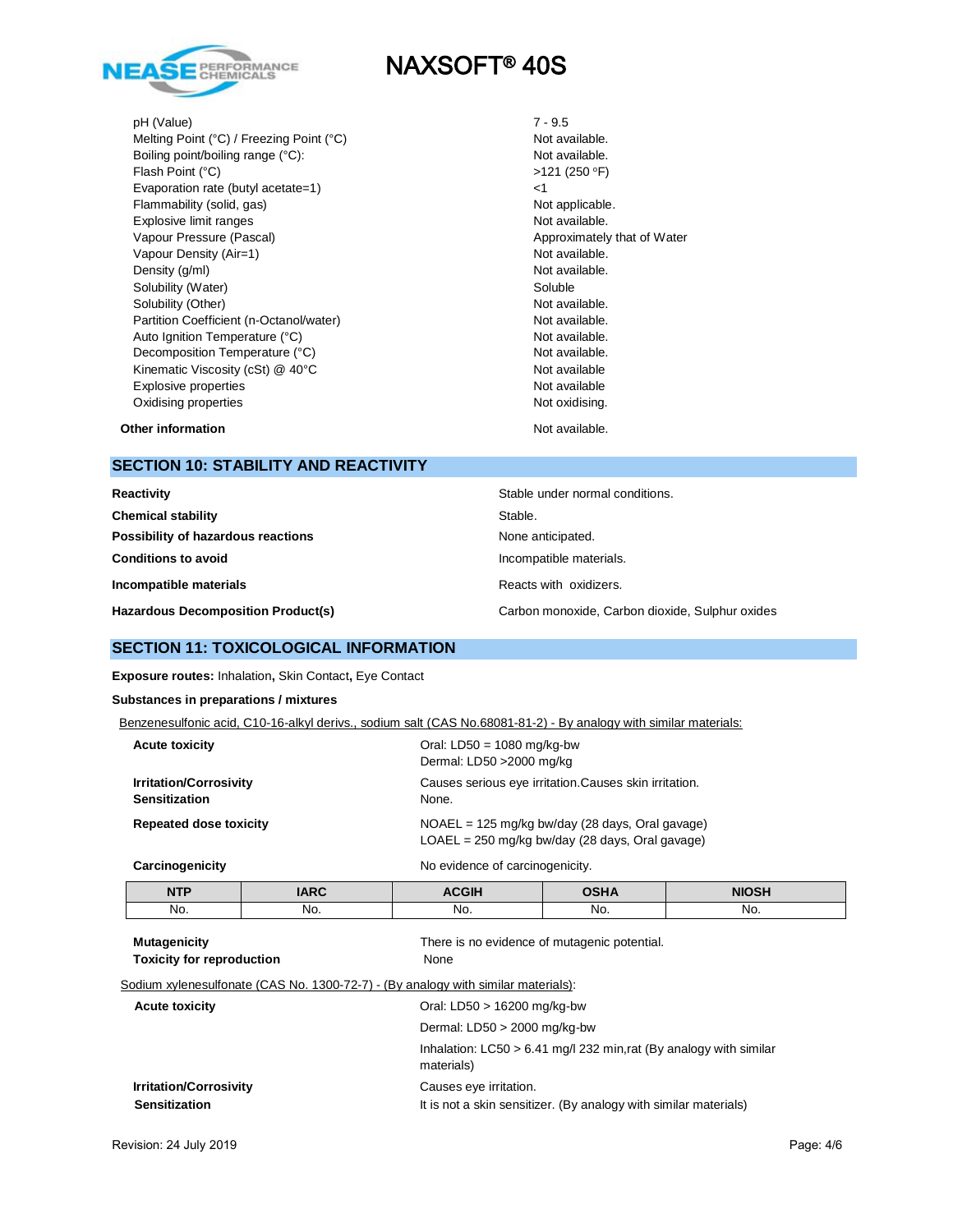

pH (Value) 7 - 9.5

Melting Point (°C) / Freezing Point (°C) Not available. Boiling point/boiling range (°C): Not available. Flash Point (°C) Evaporation rate (butyl acetate=1) <1 Flammability (solid, gas) Not applicable. Explosive limit ranges **Not available**. Vapour Pressure (Pascal) and Approximately that of Water Vapour Density (Air=1) Not available. Density (g/ml) Not available. Solubility (Water) Soluble Solubility (Other) Not available. Partition Coefficient (n-Octanol/water) Not available. Auto Ignition Temperature (°C) and the control of the Not available. Decomposition Temperature (°C) Not available. Kinematic Viscosity (cSt) @ 40°C Not available Not available Explosive properties Not available Oxidising properties Not oxidising.

 $>121(250°F)$ 

**Other information** Not available.

# **SECTION 10: STABILITY AND REACTIVITY**

| Reactivity<br>Stable under normal conditions. |                                                 |
|-----------------------------------------------|-------------------------------------------------|
| <b>Chemical stability</b>                     | Stable.                                         |
| Possibility of hazardous reactions            | None anticipated.                               |
| <b>Conditions to avoid</b>                    | Incompatible materials.                         |
| Incompatible materials                        | Reacts with oxidizers.                          |
| <b>Hazardous Decomposition Product(s)</b>     | Carbon monoxide, Carbon dioxide, Sulphur oxides |

## **SECTION 11: TOXICOLOGICAL INFORMATION**

**Exposure routes:** Inhalation**,** Skin Contact**,** Eye Contact

### **Substances in preparations / mixtures**

| Benzenesulfonic acid, C10-16-alkyl derivs., sodium salt (CAS No.68081-81-2) - By analogy with similar materials: |  |  |
|------------------------------------------------------------------------------------------------------------------|--|--|
|                                                                                                                  |  |  |

| <b>Acute toxicity</b>                                 | Oral: $LD50 = 1080$ mg/kg-bw<br>Dermal: LD50 > 2000 mg/kg                                              |
|-------------------------------------------------------|--------------------------------------------------------------------------------------------------------|
| <b>Irritation/Corrosivity</b><br><b>Sensitization</b> | Causes serious eye irritation. Causes skin irritation.<br>None.                                        |
| <b>Repeated dose toxicity</b>                         | $NOAEL = 125$ mg/kg bw/day (28 days, Oral gavage)<br>$LOAEL = 250$ mg/kg bw/day (28 days, Oral gavage) |
| Carcinogenicity                                       | No evidence of carcinogenicity.                                                                        |

| <b>NTP</b> | IADC<br>$\cdots$ | ----         | .   | NIO <sup>C</sup><br>------- |
|------------|------------------|--------------|-----|-----------------------------|
| No.        | No.              | Νŕ<br>$\sim$ | No. | No.                         |

| <b>Mutagenicity</b><br><b>Toxicity for reproduction</b>                           | There is no evidence of mutagenic potential.<br>None                               |
|-----------------------------------------------------------------------------------|------------------------------------------------------------------------------------|
| Sodium xylenesulfonate (CAS No. 1300-72-7) - (By analogy with similar materials): |                                                                                    |
| <b>Acute toxicity</b>                                                             | Oral: LD50 $>$ 16200 mg/kg-bw                                                      |
|                                                                                   | Dermal: $LD50 > 2000$ mg/kg-bw                                                     |
|                                                                                   | Inhalation: $LC50 > 6.41$ mg/l 232 min, rat (By analogy with similar<br>materials) |
| <b>Irritation/Corrosivity</b>                                                     | Causes eye irritation.                                                             |
| <b>Sensitization</b>                                                              | It is not a skin sensitizer. (By analogy with similar materials)                   |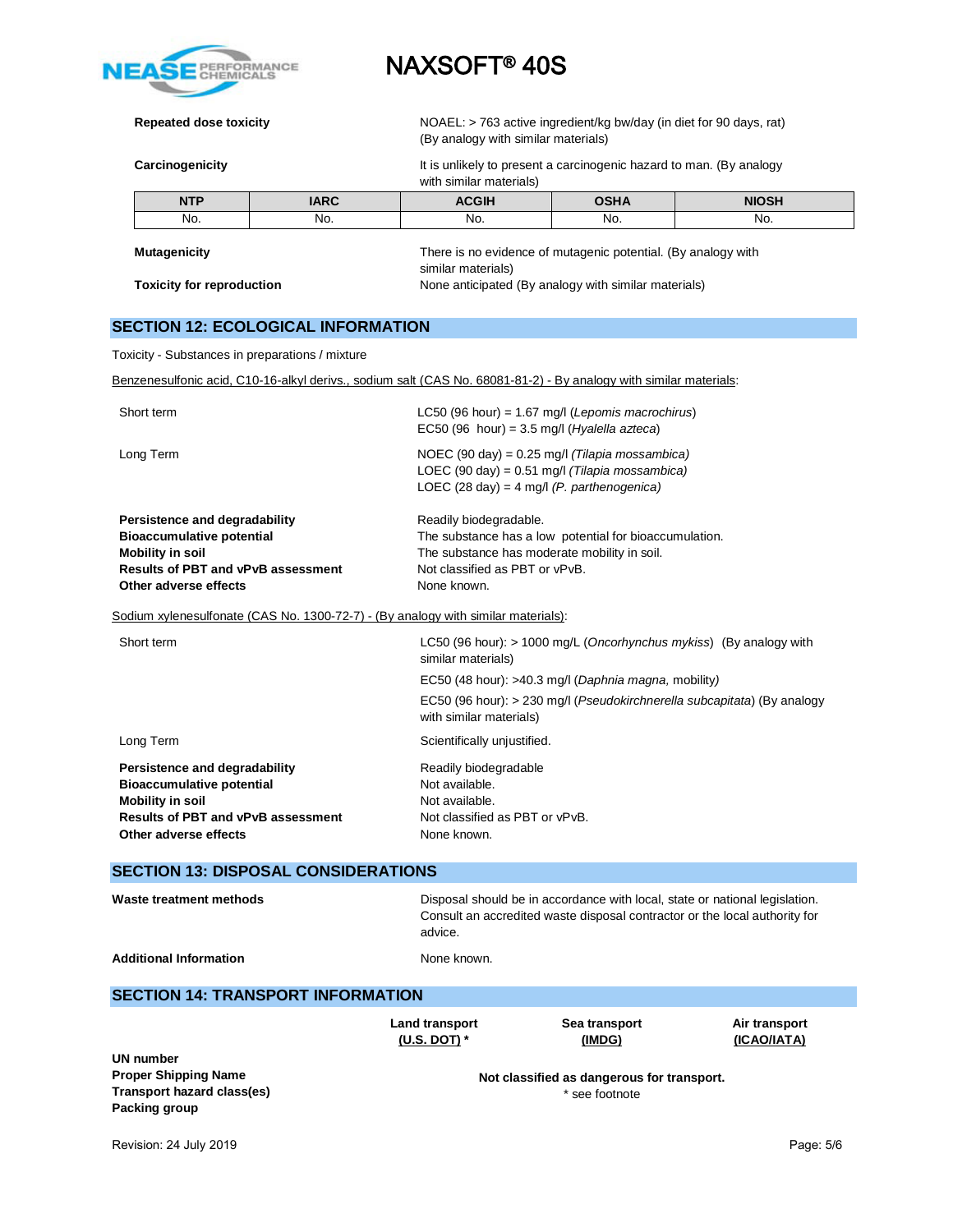

**Repeated dose toxicity** NOAEL: > 763 active ingredient/kg bw/day (in diet for 90 days, rat) (By analogy with similar materials)

**Carcinogenicity** The state of the sent of the sent a carcinogenic hazard to man. (By analogy of the sent of the sent of the sent of the sent of the sent of the sent of the sent of the sent of the sent of the sent of the s

with similar materials)

| <b>NTP</b> | IARC | ורהמי<br>חוט | OSHA | <b>NIOSH</b> |
|------------|------|--------------|------|--------------|
| No.        | No.  | No.          | No.  | No.          |
|            |      |              |      |              |

Г

**Mutagenicity** There is no evidence of mutagenic potential. (By analogy with similar materials) **Toxicity for reproduction** None anticipated (By analogy with similar materials)

## **SECTION 12: ECOLOGICAL INFORMATION**

Toxicity - Substances in preparations / mixture

Benzenesulfonic acid, C10-16-alkyl derivs., sodium salt (CAS No. 68081-81-2) - By analogy with similar materials:

| <b>UN number</b>                                                                                                                                                   | Land transport<br>(U.S. DOT) $*$                                                                           | Sea transport<br>(IMDG)                                                                                                                                   | Air transport<br>(ICAO/IATA) |  |  |  |
|--------------------------------------------------------------------------------------------------------------------------------------------------------------------|------------------------------------------------------------------------------------------------------------|-----------------------------------------------------------------------------------------------------------------------------------------------------------|------------------------------|--|--|--|
| <b>SECTION 14: TRANSPORT INFORMATION</b>                                                                                                                           |                                                                                                            |                                                                                                                                                           |                              |  |  |  |
| <b>Additional Information</b>                                                                                                                                      | None known.                                                                                                |                                                                                                                                                           |                              |  |  |  |
| <b>Waste treatment methods</b>                                                                                                                                     | advice.                                                                                                    | Disposal should be in accordance with local, state or national legislation.<br>Consult an accredited waste disposal contractor or the local authority for |                              |  |  |  |
| <b>SECTION 13: DISPOSAL CONSIDERATIONS</b>                                                                                                                         |                                                                                                            |                                                                                                                                                           |                              |  |  |  |
| Persistence and degradability<br><b>Bioaccumulative potential</b><br><b>Mobility in soil</b><br><b>Results of PBT and vPvB assessment</b><br>Other adverse effects | Readily biodegradable<br>Not available.<br>Not available.<br>Not classified as PBT or vPvB.<br>None known. |                                                                                                                                                           |                              |  |  |  |
| Long Term                                                                                                                                                          | Scientifically unjustified.                                                                                |                                                                                                                                                           |                              |  |  |  |
|                                                                                                                                                                    | with similar materials)                                                                                    | EC50 (48 hour): >40.3 mg/l (Daphnia magna, mobility)<br>EC50 (96 hour): > 230 mg/l (Pseudokirchnerella subcapitata) (By analogy                           |                              |  |  |  |
| Short term                                                                                                                                                         | similar materials)                                                                                         | LC50 (96 hour): > 1000 mg/L (Oncorhynchus mykiss) (By analogy with                                                                                        |                              |  |  |  |
| Sodium xylenesulfonate (CAS No. 1300-72-7) - (By analogy with similar materials):                                                                                  |                                                                                                            |                                                                                                                                                           |                              |  |  |  |
| Persistence and degradability<br><b>Bioaccumulative potential</b><br><b>Mobility in soil</b><br><b>Results of PBT and vPvB assessment</b><br>Other adverse effects | Readily biodegradable.<br>Not classified as PBT or vPvB.<br>None known.                                    | The substance has a low potential for bioaccumulation.<br>The substance has moderate mobility in soil.                                                    |                              |  |  |  |
| Long Term                                                                                                                                                          |                                                                                                            | NOEC (90 day) = $0.25$ mg/l (Tilapia mossambica)<br>LOEC (90 day) = 0.51 mg/l (Tilapia mossambica)<br>LOEC (28 day) = 4 mg/l (P. parthenogenica)          |                              |  |  |  |
| Short term                                                                                                                                                         |                                                                                                            | LC50 (96 hour) = $1.67$ mg/l (Lepomis macrochirus)<br>EC50 (96 hour) = $3.5$ mg/l (Hyalella azteca)                                                       |                              |  |  |  |

**Proper Shipping Name Transport hazard class(es) Packing group**

**Not classified as dangerous for transport.** \* see footnote